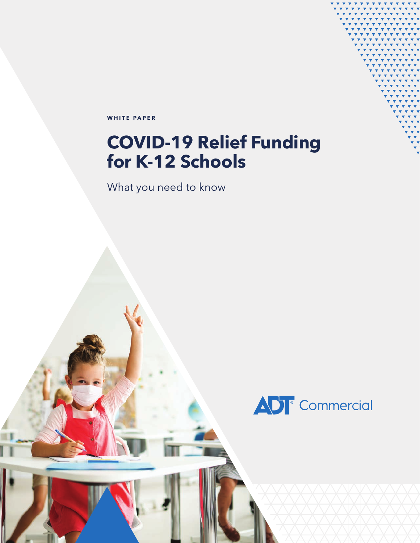**WHITE PAPER**

## **COVID-19 Relief Funding for K-12 Schools**

What you need to know

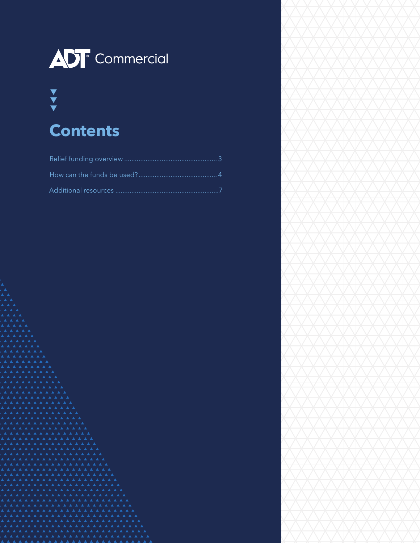

# $\frac{\blacktriangledown}{\blacktriangledown}$

### **Contents**



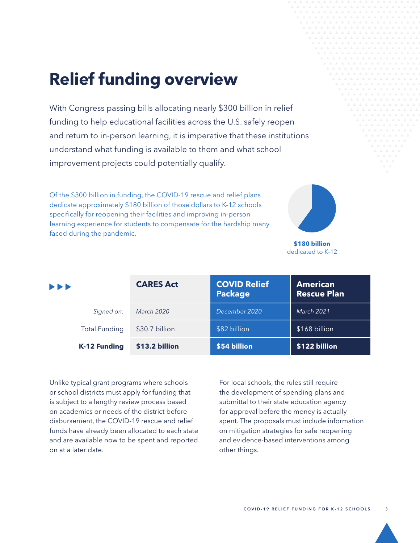## <span id="page-2-0"></span>**Relief funding overview**

With Congress passing bills allocating nearly \$300 billion in relief funding to help educational facilities across the U.S. safely reopen and return to in-person learning, it is imperative that these institutions understand what funding is available to them and what school improvement projects could potentially qualify.

Of the \$300 billion in funding, the COVID-19 rescue and relief plans dedicate approximately \$180 billion of those dollars to K-12 schools specifically for reopening their facilities and improving in-person learning experience for students to compensate for the hardship many faced during the pandemic.



**\$180 billion** dedicated to K-12

| $\blacktriangleright\blacktriangleright\blacktriangleright$ | <b>CARES Act</b> | <b>COVID Relief</b><br><b>Package</b> | <b>American</b><br><b>Rescue Plan</b> |
|-------------------------------------------------------------|------------------|---------------------------------------|---------------------------------------|
| Signed on:                                                  | March 2020       | December 2020                         | <b>March 2021</b>                     |
| <b>Total Funding</b>                                        | \$30.7 billion   | \$82 billion                          | \$168 billion                         |
| <b>K-12 Funding</b>                                         | \$13.2 billion   | \$54 billion                          | \$122 billion                         |

Unlike typical grant programs where schools or school districts must apply for funding that is subject to a lengthy review process based on academics or needs of the district before disbursement, the COVID-19 rescue and relief funds have already been allocated to each state and are available now to be spent and reported on at a later date.

For local schools, the rules still require the development of spending plans and submittal to their state education agency for approval before the money is actually spent. The proposals must include information on mitigation strategies for safe reopening and evidence-based interventions among other things.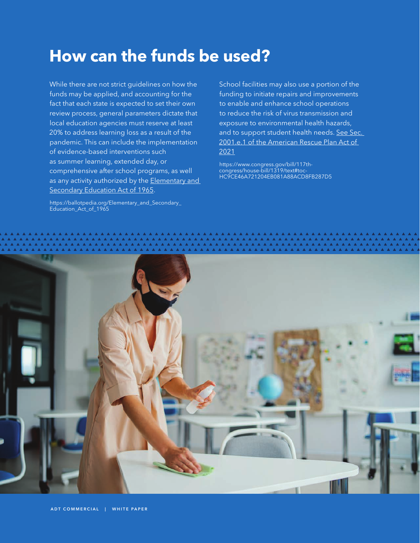### <span id="page-3-0"></span>**How can the funds be used?**

While there are not strict guidelines on how the funds may be applied, and accounting for the fact that each state is expected to set their own review process, general parameters dictate that local education agencies must reserve at least 20% to address learning loss as a result of the pandemic. This can include the implementation of evidence-based interventions such as summer learning, extended day, or comprehensive after school programs, as well as any activity authorized by the Elementary and [Secondary Education Act of 1965](https://ballotpedia.org/Elementary_and_Secondary_Education_Act_of_1965).

[https://ballotpedia.org/Elementary\\_and\\_Secondary\\_](https://ballotpedia.org/Elementary_and_Secondary_Education_Act_of_1965) [Education\\_Act\\_of\\_1965](https://ballotpedia.org/Elementary_and_Secondary_Education_Act_of_1965)

School facilities may also use a portion of the funding to initiate repairs and improvements to enable and enhance school operations to reduce the risk of virus transmission and exposure to environmental health hazards, and to support student health needs. See Sec. [2001.e.1 of the American Rescue Plan Act of](https://www.congress.gov/bill/117th-congress/house-bill/1319/text#toc-HC9CE46A721204EB081A88ACD8FB287D5)  [2021](https://www.congress.gov/bill/117th-congress/house-bill/1319/text#toc-HC9CE46A721204EB081A88ACD8FB287D5)

[https://www.congress.gov/bill/117th](https://www.congress.gov/bill/117th-congress/house-bill/1319/text#toc-HC9CE46A721204EB081A88ACD8FB287D5)[congress/house-bill/1319/text#toc-](https://www.congress.gov/bill/117th-congress/house-bill/1319/text#toc-HC9CE46A721204EB081A88ACD8FB287D5)[HC9CE46A721204EB081A88ACD8FB287D5](https://www.congress.gov/bill/117th-congress/house-bill/1319/text#toc-HC9CE46A721204EB081A88ACD8FB287D5)

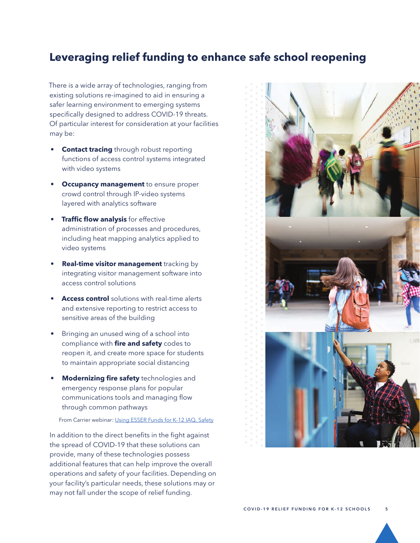#### **Leveraging relief funding to enhance safe school reopening**

There is a wide array of technologies, ranging from existing solutions re-imagined to aid in ensuring a safer learning environment to emerging systems specifically designed to address COVID-19 threats. Of particular interest for consideration at your facilities may be:

- **Contact tracing** through robust reporting functions of access control systems integrated with video systems
- **Occupancy management** to ensure proper crowd control through IP-video systems layered with analytics software
- **Traffic flow analysis** for effective administration of processes and procedures, including heat mapping analytics applied to video systems
- **Real-time visitor management** tracking by integrating visitor management software into access control solutions
- **Access control** solutions with real-time alerts and extensive reporting to restrict access to sensitive areas of the building
- Bringing an unused wing of a school into compliance with **fire and safety** codes to reopen it, and create more space for students to maintain appropriate social distancing
- **Modernizing fire safety** technologies and emergency response plans for popular communications tools and managing flow through common pathways

From Carrier webinar: [Using ESSER Funds for K-12 IAQ, Safety](https://carrier.zoom.us/rec/play/OBJH6AwL-P9T3gIOklh4YT0hA39CQ0eiWQKBKntNeSXXYnSLBEjfhqIf3gwBD8rrDPO6AvQ_45yqVvAf.K7jR1JXUgIy8tOLT?startTime=1632938468000&_x_zm_rtaid=ZcttHvtiQEiSKut8yQiMuw.1633360042611.acbefc5279f8d21a5d134fe9c022e228&_x_zm_rhtaid=874)

In addition to the direct benefits in the fight against the spread of COVID-19 that these solutions can provide, many of these technologies possess additional features that can help improve the overall operations and safety of your facilities. Depending on your facility's particular needs, these solutions may or may not fall under the scope of relief funding.

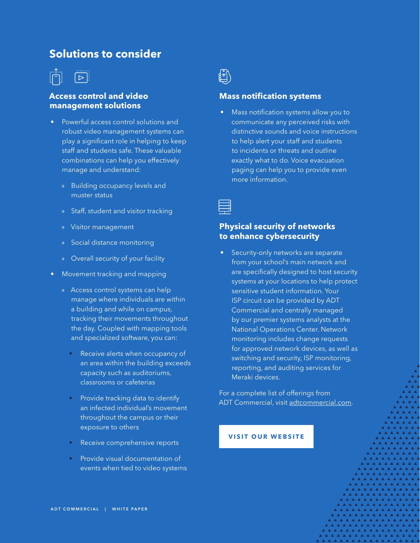#### **Solutions to consider**



#### **Access control and video management solutions**

- Powerful access control solutions and robust video management systems can play a significant role in helping to keep staff and students safe. These valuable combinations can help you effectively manage and understand:
	- » Building occupancy levels and muster status
	- » Staff, student and visitor tracking
	- » Visitor management
	- » Social distance monitoring
	- » Overall security of your facility
- Movement tracking and mapping
	- » Access control systems can help manage where individuals are within a building and while on campus, tracking their movements throughout the day. Coupled with mapping tools and specialized software, you can:
		- Receive alerts when occupancy of an area within the building exceeds capacity such as auditoriums, classrooms or cafeterias
		- Provide tracking data to identify an infected individual's movement throughout the campus or their exposure to others
		- Receive comprehensive reports
		- Provide visual documentation of events when tied to video systems



#### **Mass notification systems**

• Mass notification systems allow you to communicate any perceived risks with distinctive sounds and voice instructions to help alert your staff and students to incidents or threats and outline exactly what to do. Voice evacuation paging can help you to provide even more information.



#### **Physical security of networks to enhance cybersecurity**

• Security-only networks are separate from your school's main network and are specifically designed to host security systems at your locations to help protect sensitive student information. Your ISP circuit can be provided by ADT Commercial and centrally managed by our premier systems analysts at the National Operations Center. Network monitoring includes change requests for approved network devices, as well as switching and security, ISP monitoring, reporting, and auditing services for Meraki devices.

For a complete list of offerings from ADT Commercial, visit [adtcommercial.com](https://www.adt.com/commercial).

#### **[VISIT OUR WEBSITE](https://www.adt.com/commercial/k-12-education)**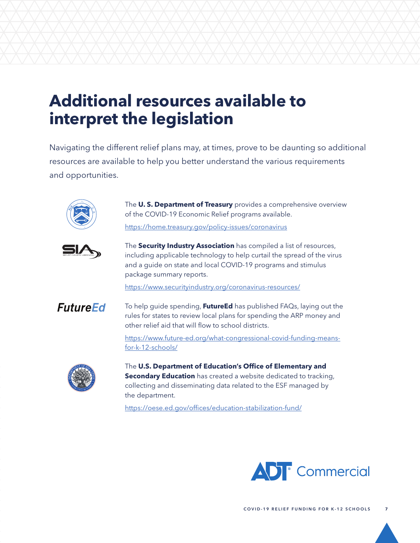### <span id="page-6-0"></span>**Additional resources available to interpret the legislation**

Navigating the different relief plans may, at times, prove to be daunting so additional resources are available to help you better understand the various requirements and opportunities.



The **U. S. Department of Treasury** provides a comprehensive overview of the COVID-19 Economic Relief programs available.

<https://home.treasury.gov/policy-issues/coronavirus>



The **Security Industry Association** has compiled a list of resources, including applicable technology to help curtail the spread of the virus and a guide on state and local COVID-19 programs and stimulus package summary reports.

<https://www.securityindustry.org/coronavirus-resources/>



To help guide spending, **FutureEd** has published FAQs, laying out the rules for states to review local plans for spending the ARP money and other relief aid that will flow to school districts.

[https://www.future-ed.org/what-congressional-covid-funding-means](https://www.future-ed.org/what-congressional-covid-funding-means-for-k-12-schools/)[for-k-12-schools/](https://www.future-ed.org/what-congressional-covid-funding-means-for-k-12-schools/)



The **U.S. Department of Education's Office of Elementary and Secondary Education** has created a website dedicated to tracking, collecting and disseminating data related to the ESF managed by the department.

<https://oese.ed.gov/offices/education-stabilization-fund/>